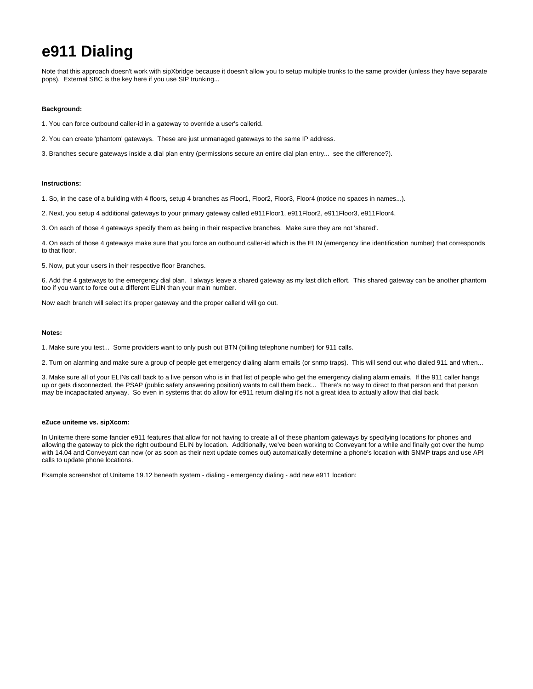# **e911 Dialing**

Note that this approach doesn't work with sipXbridge because it doesn't allow you to setup multiple trunks to the same provider (unless they have separate pops). External SBC is the key here if you use SIP trunking...

## **Background:**

- 1. You can force outbound caller-id in a gateway to override a user's callerid.
- 2. You can create 'phantom' gateways. These are just unmanaged gateways to the same IP address.
- 3. Branches secure gateways inside a dial plan entry (permissions secure an entire dial plan entry... see the difference?).

#### **Instructions:**

1. So, in the case of a building with 4 floors, setup 4 branches as Floor1, Floor2, Floor3, Floor4 (notice no spaces in names...).

2. Next, you setup 4 additional gateways to your primary gateway called e911Floor1, e911Floor2, e911Floor3, e911Floor4.

3. On each of those 4 gateways specify them as being in their respective branches. Make sure they are not 'shared'.

4. On each of those 4 gateways make sure that you force an outbound caller-id which is the ELIN (emergency line identification number) that corresponds to that floor.

5. Now, put your users in their respective floor Branches.

6. Add the 4 gateways to the emergency dial plan. I always leave a shared gateway as my last ditch effort. This shared gateway can be another phantom too if you want to force out a different ELIN than your main number.

Now each branch will select it's proper gateway and the proper callerid will go out.

#### **Notes:**

1. Make sure you test... Some providers want to only push out BTN (billing telephone number) for 911 calls.

2. Turn on alarming and make sure a group of people get emergency dialing alarm emails (or snmp traps). This will send out who dialed 911 and when...

3. Make sure all of your ELINs call back to a live person who is in that list of people who get the emergency dialing alarm emails. If the 911 caller hangs up or gets disconnected, the PSAP (public safety answering position) wants to call them back... There's no way to direct to that person and that person may be incapacitated anyway. So even in systems that do allow for e911 return dialing it's not a great idea to actually allow that dial back.

### **eZuce uniteme vs. sipXcom:**

In Uniteme there some fancier e911 features that allow for not having to create all of these phantom gateways by specifying locations for phones and allowing the gateway to pick the right outbound ELIN by location. Additionally, we've been working to Conveyant for a while and finally got over the hump with 14.04 and Conveyant can now (or as soon as their next update comes out) automatically determine a phone's location with SNMP traps and use API calls to update phone locations.

Example screenshot of Uniteme 19.12 beneath system - dialing - emergency dialing - add new e911 location: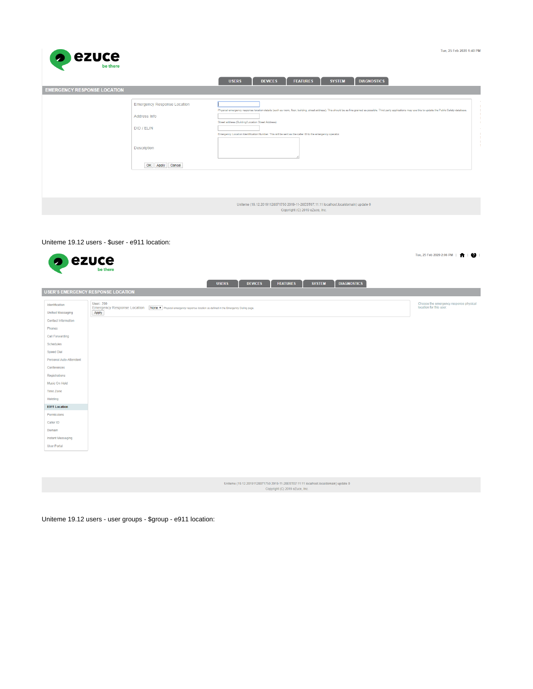

|                                    |                                    | <b>USERS</b>                                                                                                                                                 | <b>DEVICES</b> | <b>FEATURES</b> | <b>SYSTEM</b> | <b>DIAGNOSTICS</b>                                                                                                                                                                                                                              |
|------------------------------------|------------------------------------|--------------------------------------------------------------------------------------------------------------------------------------------------------------|----------------|-----------------|---------------|-------------------------------------------------------------------------------------------------------------------------------------------------------------------------------------------------------------------------------------------------|
| <b>EMERGENCY RESPONSE LOCATION</b> |                                    |                                                                                                                                                              |                |                 |               |                                                                                                                                                                                                                                                 |
|                                    | <b>Emergency Response Location</b> |                                                                                                                                                              |                |                 |               |                                                                                                                                                                                                                                                 |
|                                    | Address Info                       |                                                                                                                                                              |                |                 |               | Physical emergency response location details (such as room, floor, building, street address). This should be as fine grained as possible. Third party applications may use this to update the Public Safety database.<br>$\blacksquare$<br>- 11 |
|                                    | DID / ELIN                         | Street address (Building/Location Street Address)<br>Emergency Location Identification Number. This will be sent as the caller ID to the emergency operator. |                |                 |               | - 11<br><b>CONTRACTOR</b><br>- 11                                                                                                                                                                                                               |
|                                    | Description                        |                                                                                                                                                              |                |                 |               | - 11<br>- 11<br>- 1                                                                                                                                                                                                                             |
|                                    | OK Apply Cancel                    |                                                                                                                                                              |                |                 |               |                                                                                                                                                                                                                                                 |
|                                    |                                    |                                                                                                                                                              |                |                 |               |                                                                                                                                                                                                                                                 |
|                                    |                                    |                                                                                                                                                              |                |                 |               |                                                                                                                                                                                                                                                 |
|                                    |                                    |                                                                                                                                                              |                |                 |               |                                                                                                                                                                                                                                                 |

Uniterne (19.12.20191128071750 2019-11-28EST07:11:11 localhost.localdomain) update 0<br>Copyright (C) 2019 eZuce, Inc.

# Uniteme 19.12 users - \$user - e911 location:

| <b>P</b> ezuce                                                                                                                                                                                     | be there                                                                                                                                       | Tue, 25 Feb 2020 2:06 PM   <sup>1</sup>   2                       |
|----------------------------------------------------------------------------------------------------------------------------------------------------------------------------------------------------|------------------------------------------------------------------------------------------------------------------------------------------------|-------------------------------------------------------------------|
|                                                                                                                                                                                                    | <b>DIAGNOSTICS</b><br><b>FEATURES</b><br><b>SYSTEM</b><br><b>USERS</b><br><b>DEVICES</b>                                                       |                                                                   |
|                                                                                                                                                                                                    | <b>USER'S EMERGENCY RESPONSE LOCATION</b>                                                                                                      |                                                                   |
| Identification<br><b>Unified Messaging</b><br><b>Contact Information</b><br>Phones<br>Call Forwarding<br>Schedules<br><b>Speed Dial</b><br>Personal Auto-Attendant<br>Conferences<br>Registrations | <b>User: 200</b><br>Emergency Response Location None T Physical emergency response location as defined in the Emergency Dialing page.<br>Apply | Choose the emergency response physical<br>location for this user. |
| Music On Hold<br>Time Zone                                                                                                                                                                         |                                                                                                                                                |                                                                   |
| Hoteling                                                                                                                                                                                           |                                                                                                                                                |                                                                   |
| <b>E911 Location</b>                                                                                                                                                                               |                                                                                                                                                |                                                                   |
| Permissions<br>Caller ID                                                                                                                                                                           |                                                                                                                                                |                                                                   |
| Domain<br><b>Instant Messaging</b>                                                                                                                                                                 |                                                                                                                                                |                                                                   |
| <b>User Portal</b>                                                                                                                                                                                 |                                                                                                                                                |                                                                   |
|                                                                                                                                                                                                    |                                                                                                                                                |                                                                   |
|                                                                                                                                                                                                    | Uniteme (19.12.20191128071750 2019-11-28EST07:11:11 localhost.localdomain) update 0<br>Copyright (C) 2019 eZuce, Inc.                          |                                                                   |

Uniteme 19.12 users - user groups - \$group - e911 location: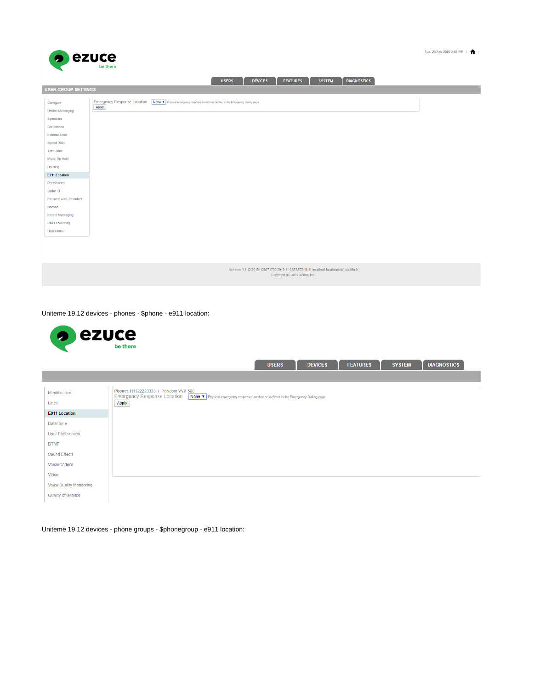



Uniteme 19.12 devices - phones - \$phone - e911 location:

| ezuce<br>$\bullet$              | be there                                                                                                                                                                                |
|---------------------------------|-----------------------------------------------------------------------------------------------------------------------------------------------------------------------------------------|
|                                 | <b>DIAGNOSTICS</b><br><b>SYSTEM</b><br><b>DEVICES</b><br><b>FEATURES</b><br><b>USERS</b>                                                                                                |
| Identification                  | Phone: 111122223333 / Polycom VVX 500<br><b>Emergency Response Location</b><br>None $\blacktriangledown$ Physical emergency response location as defined in the Emergency Dialing page. |
| Lines<br><b>E911 Location</b>   | Apply                                                                                                                                                                                   |
| Date/Time                       |                                                                                                                                                                                         |
| <b>User Preferences</b>         |                                                                                                                                                                                         |
| <b>DTMF</b>                     |                                                                                                                                                                                         |
| <b>Sound Effects</b>            |                                                                                                                                                                                         |
| Voice/Codecs<br>Video           |                                                                                                                                                                                         |
| <b>Voice Quality Monitoring</b> |                                                                                                                                                                                         |
| Quality of Service              |                                                                                                                                                                                         |

Uniteme 19.12 devices - phone groups - \$phonegroup - e911 location: